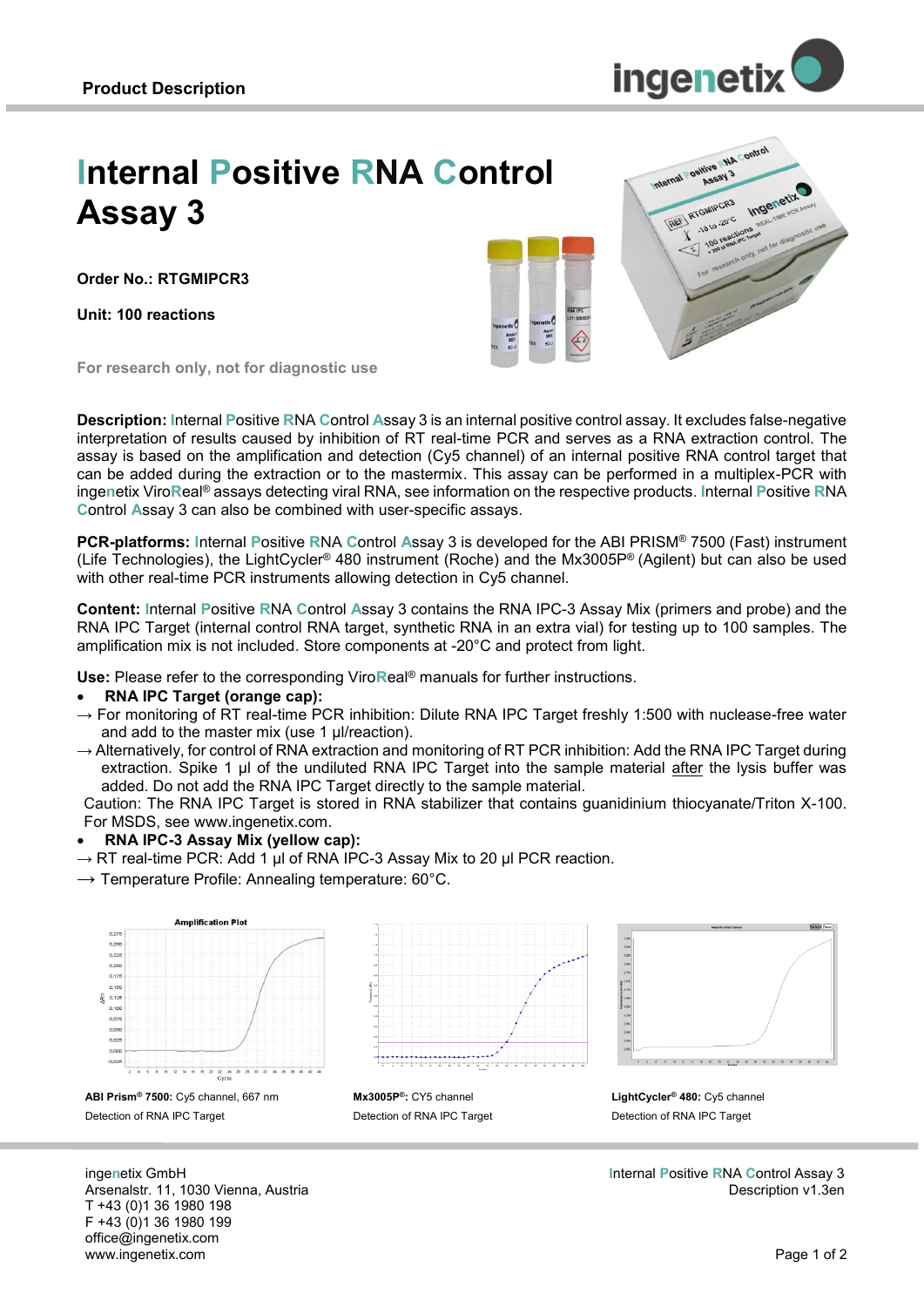

# **Internal Positive RNA Control Assay 3**

**Order No.: RTGMIPCR3**

**Unit: 100 reactions**





**For research only, not for diagnostic use**

**Description: I**nternal **P**ositive **R**NA **C**ontrol **A**ssay 3 is an internal positive control assay. It excludes false-negative interpretation of results caused by inhibition of RT real-time PCR and serves as a RNA extraction control. The assay is based on the amplification and detection (Cy5 channel) of an internal positive RNA control target that can be added during the extraction or to the mastermix. This assay can be performed in a multiplex-PCR with inge**n**etix Viro**R**eal® assays detecting viral RNA, see information on the respective products. **I**nternal **P**ositive **R**NA **C**ontrol **A**ssay 3 can also be combined with user-specific assays.

**PCR-platforms: I**nternal **P**ositive **R**NA **C**ontrol **A**ssay 3 is developed for the ABI PRISM® 7500 (Fast) instrument (Life Technologies), the LightCycler® 480 instrument (Roche) and the Mx3005P® (Agilent) but can also be used with other real-time PCR instruments allowing detection in Cy5 channel.

**Content: I**nternal **P**ositive **R**NA **C**ontrol **A**ssay 3 contains the RNA IPC-3 Assay Mix (primers and probe) and the RNA IPC Target (internal control RNA target, synthetic RNA in an extra vial) for testing up to 100 samples. The amplification mix is not included. Store components at -20°C and protect from light.

**Use:** Please refer to the corresponding Viro**R**eal® manuals for further instructions.

#### **RNA IPC Target (orange cap):**

- $\rightarrow$  For monitoring of RT real-time PCR inhibition: Dilute RNA IPC Target freshly 1:500 with nuclease-free water and add to the master mix (use 1 µl/reaction).
- $\rightarrow$  Alternatively, for control of RNA extraction and monitoring of RT PCR inhibition: Add the RNA IPC Target during extraction. Spike 1 µl of the undiluted RNA IPC Target into the sample material after the lysis buffer was added. Do not add the RNA IPC Target directly to the sample material.

Caution: The RNA IPC Target is stored in RNA stabilizer that contains guanidinium thiocyanate/Triton X-100. For MSDS, see www.ingenetix.com.

#### **RNA IPC-3 Assay Mix (yellow cap):**

 $\rightarrow$  RT real-time PCR: Add 1 µl of RNA IPC-3 Assay Mix to 20 µl PCR reaction.

 $\rightarrow$  Temperature Profile: Annealing temperature: 60°C.



**ABI Prism® 7500:** Cy5 channel, 667 nm Detection of RNA IPC Target



**Mx3005P®:** CY5 channel Detection of RNA IPC Target



**LightCycler® 480:** Cy5 channel Detection of RNA IPC Target

**I**nternal **P**ositive **R**NA **C**ontrol Assay 3 Description v1.3en

inge**n**etix GmbH Arsenalstr. 11, 1030 Vienna, Austria T +43 (0)1 36 1980 198 F +43 (0)1 36 1980 199 office@ingenetix.com www.ingenetix.com